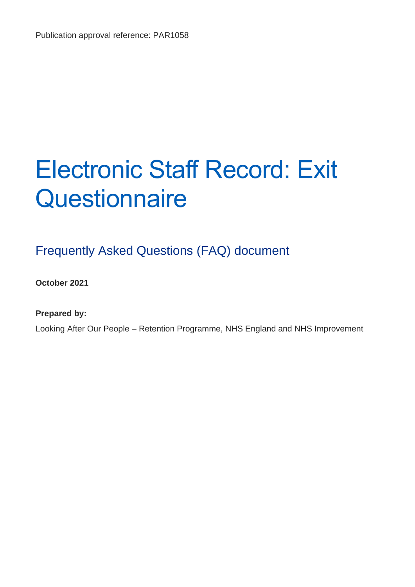# Electronic Staff Record: Exit **Questionnaire**

# Frequently Asked Questions (FAQ) document

**October 2021**

**Prepared by:** 

Looking After Our People – Retention Programme, NHS England and NHS Improvement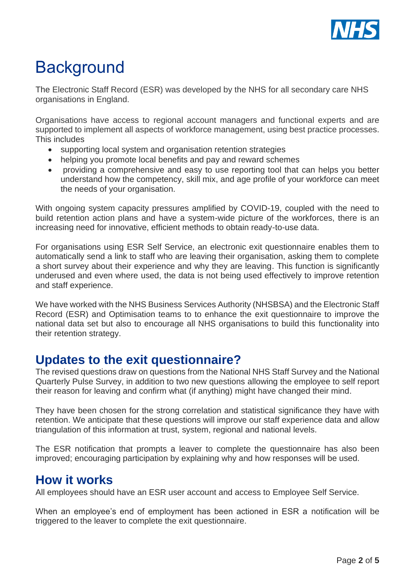

# **Background**

The Electronic Staff Record (ESR) was developed by the NHS for all secondary care NHS organisations in England.

Organisations have access to regional account managers and functional experts and are supported to implement all aspects of workforce management, using best practice processes. This includes

- supporting local system and organisation retention strategies
- helping you promote local benefits and pay and reward schemes
- providing a comprehensive and easy to use reporting tool that can helps you better understand how the competency, skill mix, and age profile of your workforce can meet the needs of your organisation.

With ongoing system capacity pressures amplified by COVID-19, coupled with the need to build retention action plans and have a system-wide picture of the workforces, there is an increasing need for innovative, efficient methods to obtain ready-to-use data.

For organisations using ESR Self Service, an electronic exit questionnaire enables them to automatically send a link to staff who are leaving their organisation, asking them to complete a short survey about their experience and why they are leaving. This function is significantly underused and even where used, the data is not being used effectively to improve retention and staff experience.

We have worked with the NHS Business Services Authority (NHSBSA) and the Electronic Staff Record (ESR) and Optimisation teams to to enhance the exit questionnaire to improve the national data set but also to encourage all NHS organisations to build this functionality into their retention strategy.

## **Updates to the exit questionnaire?**

The revised questions draw on questions from the National NHS Staff Survey and the National Quarterly Pulse Survey, in addition to two new questions allowing the employee to self report their reason for leaving and confirm what (if anything) might have changed their mind.

They have been chosen for the strong correlation and statistical significance they have with retention. We anticipate that these questions will improve our staff experience data and allow triangulation of this information at trust, system, regional and national levels.

The ESR notification that prompts a leaver to complete the questionnaire has also been improved; encouraging participation by explaining why and how responses will be used.

### **How it works**

All employees should have an ESR user account and access to Employee Self Service.

When an employee's end of employment has been actioned in ESR a notification will be triggered to the leaver to complete the exit questionnaire.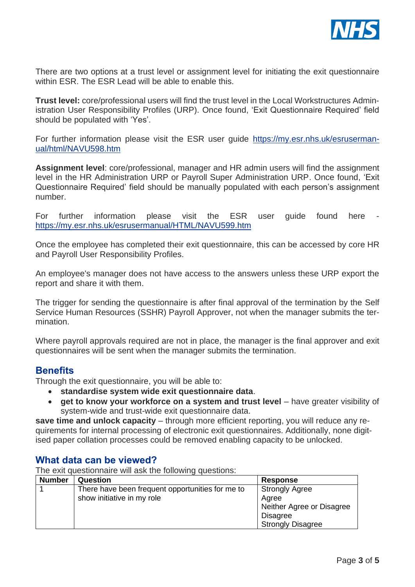

There are two options at a trust level or assignment level for initiating the exit questionnaire within FSR. The FSR Lead will be able to enable this.

**Trust level:** core/professional users will find the trust level in the Local Workstructures Administration User Responsibility Profiles (URP). Once found, 'Exit Questionnaire Required' field should be populated with 'Yes'.

For further information please visit the ESR user guide [https://my.esr.nhs.uk/esruserman](https://my.esr.nhs.uk/esrusermanual/html/NAVU598.htm)[ual/html/NAVU598.htm](https://my.esr.nhs.uk/esrusermanual/html/NAVU598.htm)

**Assignment level**: core/professional, manager and HR admin users will find the assignment level in the HR Administration URP or Payroll Super Administration URP. Once found, 'Exit Questionnaire Required' field should be manually populated with each person's assignment number.

For further information please visit the ESR user quide found here <https://my.esr.nhs.uk/esrusermanual/HTML/NAVU599.htm>

Once the employee has completed their exit questionnaire, this can be accessed by core HR and Payroll User Responsibility Profiles.

An employee's manager does not have access to the answers unless these URP export the report and share it with them.

The trigger for sending the questionnaire is after final approval of the termination by the Self Service Human Resources (SSHR) Payroll Approver, not when the manager submits the termination.

Where payroll approvals required are not in place, the manager is the final approver and exit questionnaires will be sent when the manager submits the termination.

#### **Benefits**

Through the exit questionnaire, you will be able to:

- **standardise system wide exit questionnaire data**.
- **get to know your workforce on a system and trust level** have greater visibility of system-wide and trust-wide exit questionnaire data.

**save time and unlock capacity** – through more efficient reporting, you will reduce any requirements for internal processing of electronic exit questionnaires. Additionally, none digitised paper collation processes could be removed enabling capacity to be unlocked.

#### **What data can be viewed?**

The exit questionnaire will ask the following questions:

| <b>Number</b> | Question                                         | <b>Response</b>           |
|---------------|--------------------------------------------------|---------------------------|
|               | There have been frequent opportunities for me to | <b>Strongly Agree</b>     |
|               | show initiative in my role                       | Agree                     |
|               |                                                  | Neither Agree or Disagree |
|               |                                                  | <b>Disagree</b>           |
|               |                                                  | <b>Strongly Disagree</b>  |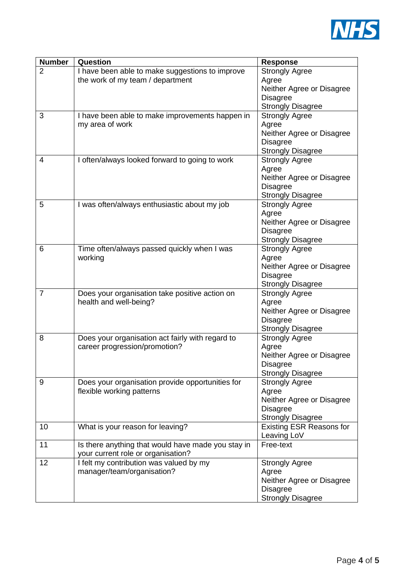

| <b>Number</b>  | Question                                           | <b>Response</b>                                   |
|----------------|----------------------------------------------------|---------------------------------------------------|
| $\overline{2}$ | I have been able to make suggestions to improve    | <b>Strongly Agree</b>                             |
|                | the work of my team / department                   | Agree                                             |
|                |                                                    | Neither Agree or Disagree                         |
|                |                                                    | <b>Disagree</b>                                   |
|                |                                                    | <b>Strongly Disagree</b>                          |
| 3              | I have been able to make improvements happen in    | <b>Strongly Agree</b>                             |
|                | my area of work                                    | Agree                                             |
|                |                                                    | Neither Agree or Disagree                         |
|                |                                                    | <b>Disagree</b><br><b>Strongly Disagree</b>       |
| 4              | I often/always looked forward to going to work     | <b>Strongly Agree</b>                             |
|                |                                                    | Agree                                             |
|                |                                                    | Neither Agree or Disagree                         |
|                |                                                    | <b>Disagree</b>                                   |
|                |                                                    | <b>Strongly Disagree</b>                          |
| 5              | I was often/always enthusiastic about my job       | <b>Strongly Agree</b>                             |
|                |                                                    | Agree                                             |
|                |                                                    | Neither Agree or Disagree                         |
|                |                                                    | <b>Disagree</b>                                   |
|                |                                                    | <b>Strongly Disagree</b>                          |
| 6              | Time often/always passed quickly when I was        | Strongly Agree                                    |
|                | working                                            | Agree                                             |
|                |                                                    | Neither Agree or Disagree                         |
|                |                                                    | <b>Disagree</b>                                   |
| $\overline{7}$ | Does your organisation take positive action on     | <b>Strongly Disagree</b><br><b>Strongly Agree</b> |
|                | health and well-being?                             | Agree                                             |
|                |                                                    | Neither Agree or Disagree                         |
|                |                                                    | <b>Disagree</b>                                   |
|                |                                                    | <b>Strongly Disagree</b>                          |
| 8              | Does your organisation act fairly with regard to   | <b>Strongly Agree</b>                             |
|                | career progression/promotion?                      | Agree                                             |
|                |                                                    | Neither Agree or Disagree                         |
|                |                                                    | Disagree                                          |
|                |                                                    | <b>Strongly Disagree</b>                          |
| 9              | Does your organisation provide opportunities for   | <b>Strongly Agree</b>                             |
|                | flexible working patterns                          | Agree                                             |
|                |                                                    | Neither Agree or Disagree<br><b>Disagree</b>      |
|                |                                                    | <b>Strongly Disagree</b>                          |
| 10             | What is your reason for leaving?                   | <b>Existing ESR Reasons for</b>                   |
|                |                                                    | Leaving LoV                                       |
| 11             | Is there anything that would have made you stay in | Free-text                                         |
|                | your current role or organisation?                 |                                                   |
| 12             | I felt my contribution was valued by my            | <b>Strongly Agree</b>                             |
|                | manager/team/organisation?                         | Agree                                             |
|                |                                                    | Neither Agree or Disagree                         |
|                |                                                    | <b>Disagree</b>                                   |
|                |                                                    | <b>Strongly Disagree</b>                          |